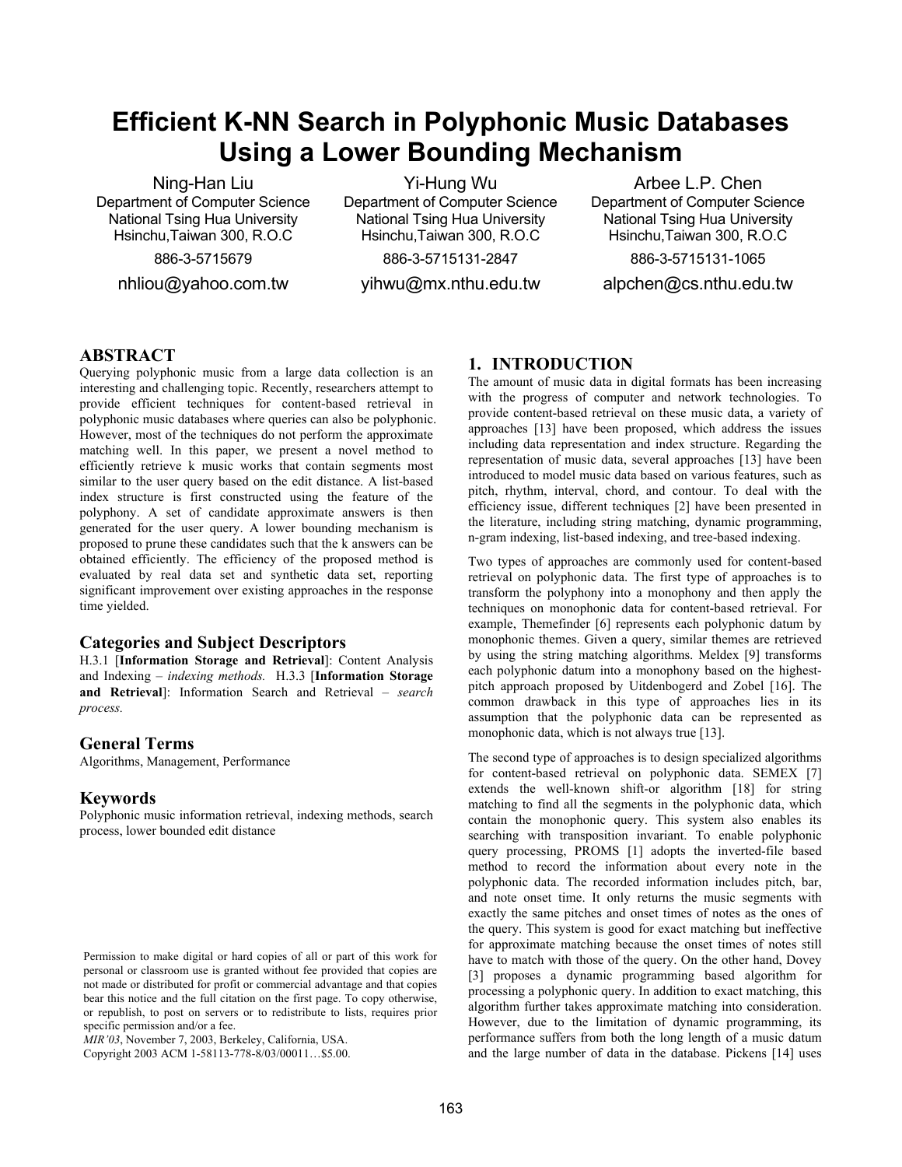# **Efficient K-NN Search in Polyphonic Music Databases Using a Lower Bounding Mechanism**

Ning-Han Liu Department of Computer Science National Tsing Hua University Hsinchu,Taiwan 300, R.O.C

886-3-5715679

nhliou@yahoo.com.tw

Yi-Hung Wu Department of Computer Science National Tsing Hua University Hsinchu,Taiwan 300, R.O.C

886-3-5715131-2847

yihwu@mx.nthu.edu.tw

Arbee L.P. Chen Department of Computer Science National Tsing Hua University Hsinchu,Taiwan 300, R.O.C

886-3-5715131-1065

alpchen@cs.nthu.edu.tw

# **ABSTRACT**

Querying polyphonic music from a large data collection is an interesting and challenging topic. Recently, researchers attempt to provide efficient techniques for content-based retrieval in polyphonic music databases where queries can also be polyphonic. However, most of the techniques do not perform the approximate matching well. In this paper, we present a novel method to efficiently retrieve k music works that contain segments most similar to the user query based on the edit distance. A list-based index structure is first constructed using the feature of the polyphony. A set of candidate approximate answers is then generated for the user query. A lower bounding mechanism is proposed to prune these candidates such that the k answers can be obtained efficiently. The efficiency of the proposed method is evaluated by real data set and synthetic data set, reporting significant improvement over existing approaches in the response time yielded.

### **Categories and Subject Descriptors**

H.3.1 [**Information Storage and Retrieval**]: Content Analysis and Indexing – *indexing methods.* H.3.3 [**Information Storage and Retrieval**]: Information Search and Retrieval – *search process.* 

# **General Terms**

Algorithms, Management, Performance

## **Keywords**

Polyphonic music information retrieval, indexing methods, search process, lower bounded edit distance

Copyright 2003 ACM 1-58113-778-8/03/00011…\$5.00.

# **1. INTRODUCTION**

The amount of music data in digital formats has been increasing with the progress of computer and network technologies. To provide content-based retrieval on these music data, a variety of approaches [13] have been proposed, which address the issues including data representation and index structure. Regarding the representation of music data, several approaches [13] have been introduced to model music data based on various features, such as pitch, rhythm, interval, chord, and contour. To deal with the efficiency issue, different techniques [2] have been presented in the literature, including string matching, dynamic programming, n-gram indexing, list-based indexing, and tree-based indexing.

Two types of approaches are commonly used for content-based retrieval on polyphonic data. The first type of approaches is to transform the polyphony into a monophony and then apply the techniques on monophonic data for content-based retrieval. For example, Themefinder [6] represents each polyphonic datum by monophonic themes. Given a query, similar themes are retrieved by using the string matching algorithms. Meldex [9] transforms each polyphonic datum into a monophony based on the highestpitch approach proposed by Uitdenbogerd and Zobel [16]. The common drawback in this type of approaches lies in its assumption that the polyphonic data can be represented as monophonic data, which is not always true [13].

The second type of approaches is to design specialized algorithms for content-based retrieval on polyphonic data. SEMEX [7] extends the well-known shift-or algorithm [18] for string matching to find all the segments in the polyphonic data, which contain the monophonic query. This system also enables its searching with transposition invariant. To enable polyphonic query processing, PROMS [1] adopts the inverted-file based method to record the information about every note in the polyphonic data. The recorded information includes pitch, bar, and note onset time. It only returns the music segments with exactly the same pitches and onset times of notes as the ones of the query. This system is good for exact matching but ineffective for approximate matching because the onset times of notes still have to match with those of the query. On the other hand, Dovey [3] proposes a dynamic programming based algorithm for processing a polyphonic query. In addition to exact matching, this algorithm further takes approximate matching into consideration. However, due to the limitation of dynamic programming, its performance suffers from both the long length of a music datum and the large number of data in the database. Pickens [14] uses

Permission to make digital or hard copies of all or part of this work for personal or classroom use is granted without fee provided that copies are not made or distributed for profit or commercial advantage and that copies bear this notice and the full citation on the first page. To copy otherwise, or republish, to post on servers or to redistribute to lists, requires prior specific permission and/or a fee.

*MIR'03*, November 7, 2003, Berkeley, California, USA.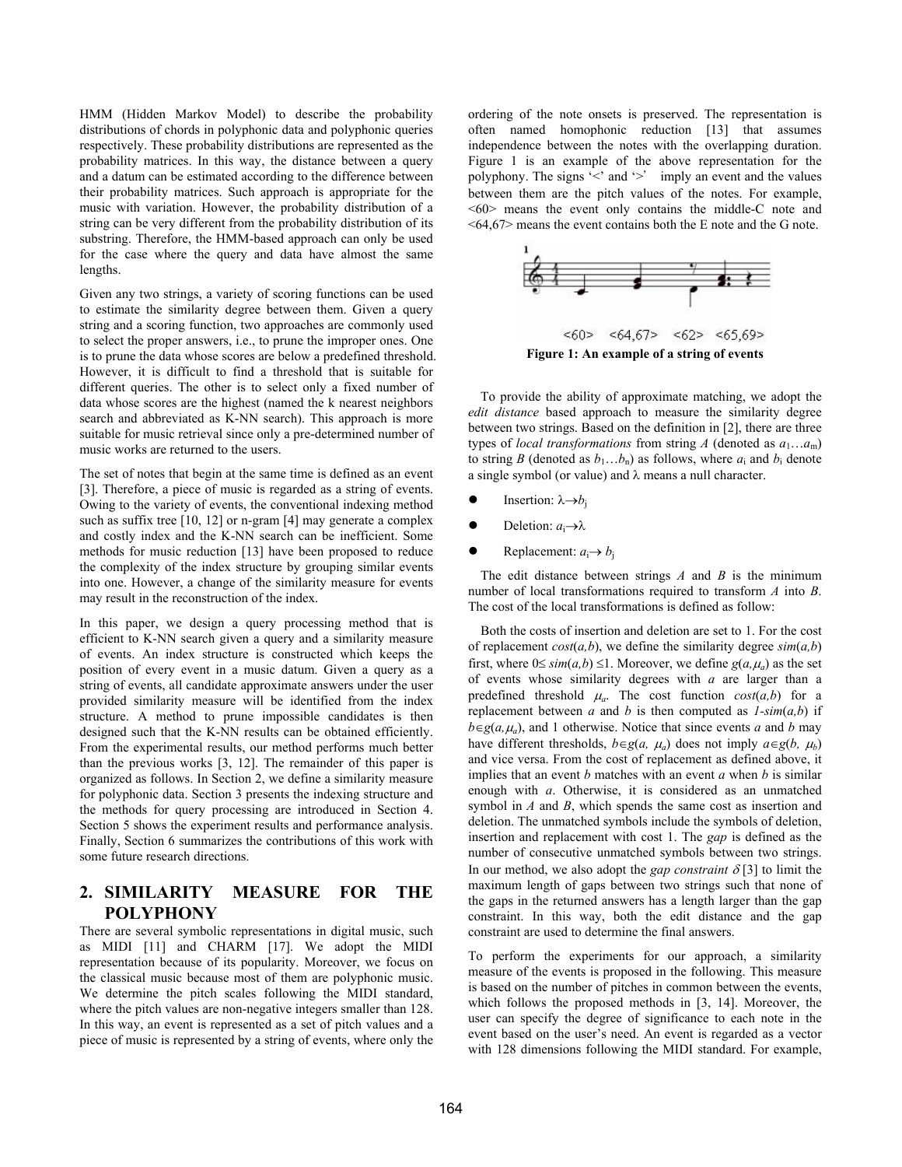HMM (Hidden Markov Model) to describe the probability distributions of chords in polyphonic data and polyphonic queries respectively. These probability distributions are represented as the probability matrices. In this way, the distance between a query and a datum can be estimated according to the difference between their probability matrices. Such approach is appropriate for the music with variation. However, the probability distribution of a string can be very different from the probability distribution of its substring. Therefore, the HMM-based approach can only be used for the case where the query and data have almost the same lengths.

Given any two strings, a variety of scoring functions can be used to estimate the similarity degree between them. Given a query string and a scoring function, two approaches are commonly used to select the proper answers, i.e., to prune the improper ones. One is to prune the data whose scores are below a predefined threshold. However, it is difficult to find a threshold that is suitable for different queries. The other is to select only a fixed number of data whose scores are the highest (named the k nearest neighbors search and abbreviated as K-NN search). This approach is more suitable for music retrieval since only a pre-determined number of music works are returned to the users.

The set of notes that begin at the same time is defined as an event [3]. Therefore, a piece of music is regarded as a string of events. Owing to the variety of events, the conventional indexing method such as suffix tree [10, 12] or n-gram [4] may generate a complex and costly index and the K-NN search can be inefficient. Some methods for music reduction [13] have been proposed to reduce the complexity of the index structure by grouping similar events into one. However, a change of the similarity measure for events may result in the reconstruction of the index.

In this paper, we design a query processing method that is efficient to K-NN search given a query and a similarity measure of events. An index structure is constructed which keeps the position of every event in a music datum. Given a query as a string of events, all candidate approximate answers under the user provided similarity measure will be identified from the index structure. A method to prune impossible candidates is then designed such that the K-NN results can be obtained efficiently. From the experimental results, our method performs much better than the previous works [3, 12]. The remainder of this paper is organized as follows. In Section 2, we define a similarity measure for polyphonic data. Section 3 presents the indexing structure and the methods for query processing are introduced in Section 4. Section 5 shows the experiment results and performance analysis. Finally, Section 6 summarizes the contributions of this work with some future research directions.

# **2. SIMILARITY MEASURE FOR THE POLYPHONY**

There are several symbolic representations in digital music, such as MIDI [11] and CHARM [17]. We adopt the MIDI representation because of its popularity. Moreover, we focus on the classical music because most of them are polyphonic music. We determine the pitch scales following the MIDI standard, where the pitch values are non-negative integers smaller than 128. In this way, an event is represented as a set of pitch values and a piece of music is represented by a string of events, where only the

ordering of the note onsets is preserved. The representation is often named homophonic reduction [13] that assumes independence between the notes with the overlapping duration. Figure 1 is an example of the above representation for the polyphony. The signs  $\leq$  and  $\geq$  imply an event and the values between them are the pitch values of the notes. For example, <60> means the event only contains the middle-C note and <64,67> means the event contains both the E note and the G note.



 $<60>$   $<64.67>$   $<62>$   $<65.69>$ **Figure 1: An example of a string of events** 

To provide the ability of approximate matching, we adopt the *edit distance* based approach to measure the similarity degree between two strings. Based on the definition in [2], there are three types of *local transformations* from string *A* (denoted as  $a_1...a_m$ ) to string *B* (denoted as  $b_1...b_n$ ) as follows, where  $a_i$  and  $b_i$  denote a single symbol (or value) and  $\lambda$  means a null character.

- Insertion:  $\lambda \rightarrow b_i$
- Deletion:  $a_i \rightarrow \lambda$
- Replacement:  $a_i \rightarrow b_i$

The edit distance between strings *A* and *B* is the minimum number of local transformations required to transform *A* into *B*. The cost of the local transformations is defined as follow:

Both the costs of insertion and deletion are set to 1. For the cost of replacement  $cost(a,b)$ , we define the similarity degree  $sim(a,b)$ first, where  $0 \leq \text{sim}(a, b) \leq 1$ . Moreover, we define  $g(a, \mu_a)$  as the set of events whose similarity degrees with *a* are larger than a predefined threshold  $\mu_a$ . The cost function  $cost(a,b)$  for a replacement between *a* and *b* is then computed as  $1\text{-}sim(a,b)$  if  $b \in g(a, \mu_a)$ , and 1 otherwise. Notice that since events *a* and *b* may have different thresholds,  $b \in g(a, \mu_a)$  does not imply  $a \in g(b, \mu_b)$ and vice versa. From the cost of replacement as defined above, it implies that an event *b* matches with an event *a* when *b* is similar enough with *a*. Otherwise, it is considered as an unmatched symbol in *A* and *B*, which spends the same cost as insertion and deletion. The unmatched symbols include the symbols of deletion, insertion and replacement with cost 1. The *gap* is defined as the number of consecutive unmatched symbols between two strings. In our method, we also adopt the *gap constraint*  $\delta$  [3] to limit the maximum length of gaps between two strings such that none of the gaps in the returned answers has a length larger than the gap constraint. In this way, both the edit distance and the gap constraint are used to determine the final answers.

To perform the experiments for our approach, a similarity measure of the events is proposed in the following. This measure is based on the number of pitches in common between the events, which follows the proposed methods in [3, 14]. Moreover, the user can specify the degree of significance to each note in the event based on the user's need. An event is regarded as a vector with 128 dimensions following the MIDI standard. For example,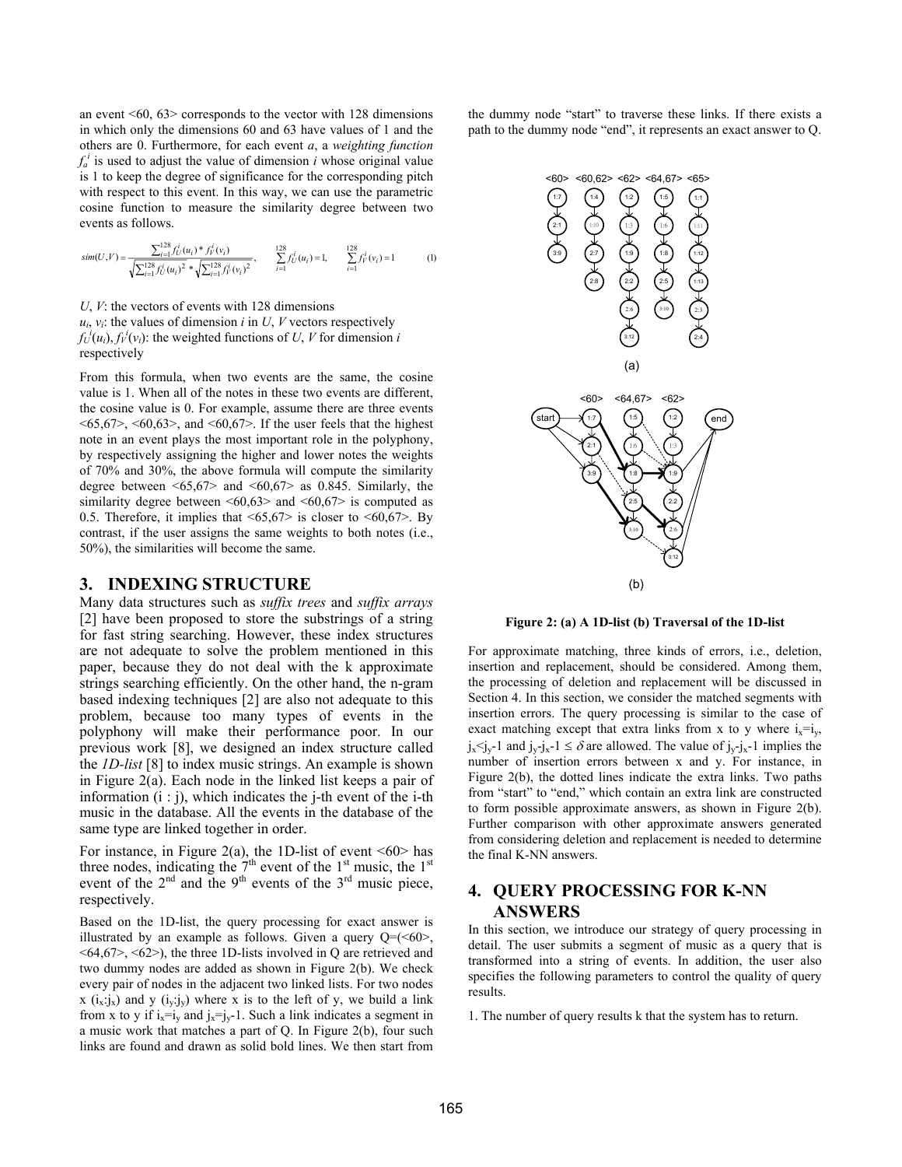an event <60, 63> corresponds to the vector with 128 dimensions in which only the dimensions 60 and 63 have values of 1 and the others are 0. Furthermore, for each event *a*, a *weighting function*  $f_a^i$  is used to adjust the value of dimension *i* whose original value is 1 to keep the degree of significance for the corresponding pitch with respect to this event. In this way, we can use the parametric cosine function to measure the similarity degree between two events as follows.

$$
sim(U,V) = \frac{\sum_{i=1}^{128} f_U^i(u_i) * f_V^i(v_i)}{\sqrt{\sum_{i=1}^{128} f_U^i(u_i)^2} * \sqrt{\sum_{i=1}^{128} f_V^i(v_i)^2}}, \qquad \sum_{i=1}^{128} f_U^i(u_i) = 1, \qquad \sum_{i=1}^{128} f_V^i(v_i) = 1
$$
(1)

*U*, *V*: the vectors of events with 128 dimensions  $u_i$ ,  $v_i$ : the values of dimension *i* in *U*, *V* vectors respectively  $f_U^i(u_i)$ ,  $f_V^i(v_i)$ : the weighted functions of *U*, *V* for dimension *i* respectively

From this formula, when two events are the same, the cosine value is 1. When all of the notes in these two events are different, the cosine value is 0. For example, assume there are three events  $\langle 65,67 \rangle$ ,  $\langle 60,63 \rangle$ , and  $\langle 60,67 \rangle$ . If the user feels that the highest note in an event plays the most important role in the polyphony, by respectively assigning the higher and lower notes the weights of 70% and 30%, the above formula will compute the similarity degree between  $\leq 65,67$  and  $\leq 60,67$  as 0.845. Similarly, the similarity degree between  $\leq 60,63$  and  $\leq 60,67$  is computed as 0.5. Therefore, it implies that  $\langle 65, 67 \rangle$  is closer to  $\langle 60, 67 \rangle$ . By contrast, if the user assigns the same weights to both notes (i.e., 50%), the similarities will become the same.

### **3. INDEXING STRUCTURE**

Many data structures such as *suffix trees* and *suffix arrays* [2] have been proposed to store the substrings of a string for fast string searching. However, these index structures are not adequate to solve the problem mentioned in this paper, because they do not deal with the k approximate strings searching efficiently. On the other hand, the n-gram based indexing techniques [2] are also not adequate to this problem, because too many types of events in the polyphony will make their performance poor. In our previous work [8], we designed an index structure called the *1D-list* [8] to index music strings. An example is shown in Figure 2(a). Each node in the linked list keeps a pair of information  $(i : j)$ , which indicates the j-th event of the i-th music in the database. All the events in the database of the same type are linked together in order.

For instance, in Figure 2(a), the 1D-list of event  $\leq 60$  has three nodes, indicating the  $7<sup>th</sup>$  event of the 1<sup>st</sup> music, the 1<sup>st</sup> event of the  $2<sup>nd</sup>$  and the 9<sup>th</sup> events of the  $3<sup>rd</sup>$  music piece, respectively.

Based on the 1D-list, the query processing for exact answer is illustrated by an example as follows. Given a query  $Q = \langle 60 \rangle$ ,  $\langle 64, 67 \rangle$ ,  $\langle 62 \rangle$ , the three 1D-lists involved in Q are retrieved and two dummy nodes are added as shown in Figure 2(b). We check every pair of nodes in the adjacent two linked lists. For two nodes x  $(i_x:j_x)$  and y  $(i_y:j_y)$  where x is to the left of y, we build a link from x to y if  $i_x=i_y$  and  $i_y=i_y-1$ . Such a link indicates a segment in a music work that matches a part of Q. In Figure 2(b), four such links are found and drawn as solid bold lines. We then start from the dummy node "start" to traverse these links. If there exists a path to the dummy node "end", it represents an exact answer to Q.



**Figure 2: (a) A 1D-list (b) Traversal of the 1D-list** 

For approximate matching, three kinds of errors, i.e., deletion, insertion and replacement, should be considered. Among them, the processing of deletion and replacement will be discussed in Section 4. In this section, we consider the matched segments with insertion errors. The query processing is similar to the case of exact matching except that extra links from x to y where  $i_x=i_y$ ,  $j_x < j_y-1$  and  $j_y-j_x-1 \le \delta$  are allowed. The value of  $j_y-j_x-1$  implies the number of insertion errors between x and y. For instance, in Figure 2(b), the dotted lines indicate the extra links. Two paths from "start" to "end," which contain an extra link are constructed to form possible approximate answers, as shown in Figure 2(b). Further comparison with other approximate answers generated from considering deletion and replacement is needed to determine the final K-NN answers.

# **4. QUERY PROCESSING FOR K-NN ANSWERS**

In this section, we introduce our strategy of query processing in detail. The user submits a segment of music as a query that is transformed into a string of events. In addition, the user also specifies the following parameters to control the quality of query results.

1. The number of query results k that the system has to return.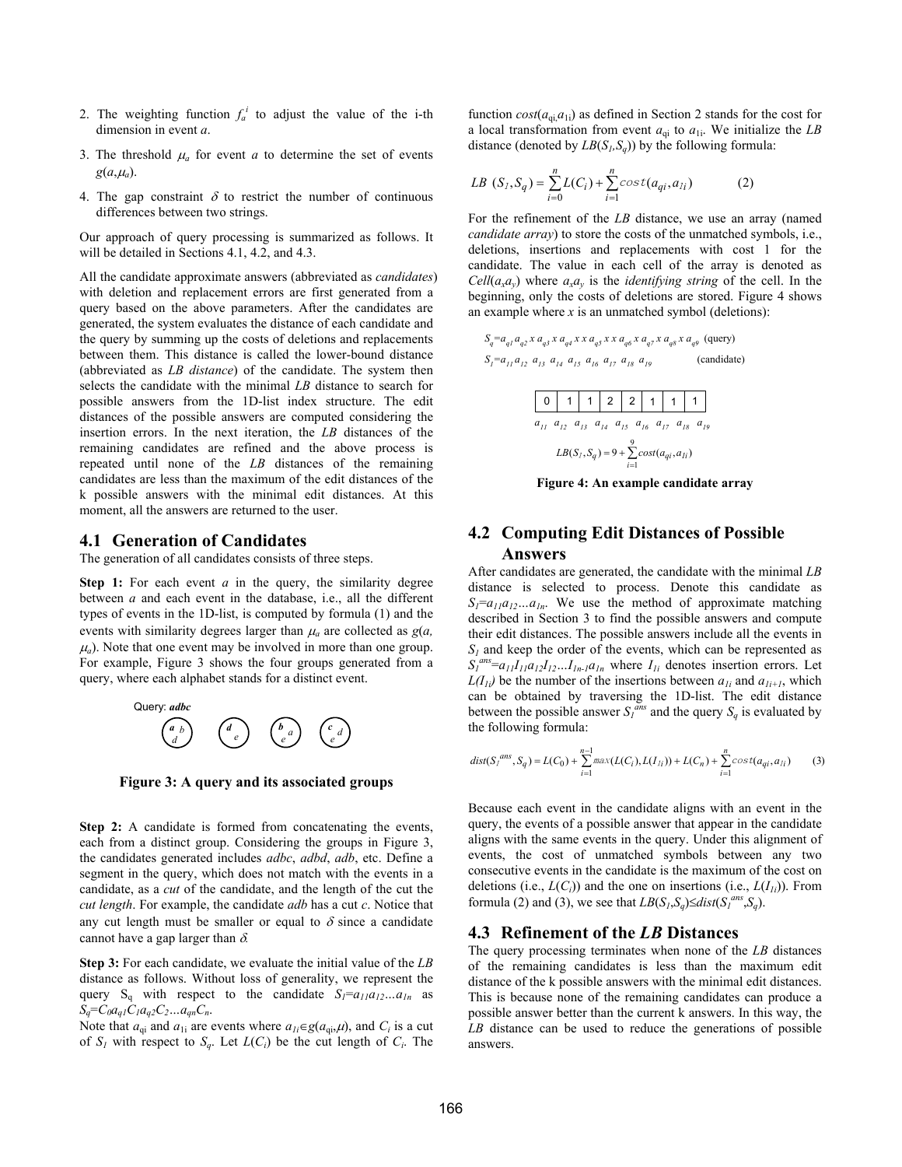- 2. The weighting function  $f_a^i$  to adjust the value of the i-th dimension in event *a*.
- 3. The threshold  $\mu_a$  for event *a* to determine the set of events  $g(a, \mu_a)$ .
- 4. The gap constraint  $\delta$  to restrict the number of continuous differences between two strings.

Our approach of query processing is summarized as follows. It will be detailed in Sections 4.1, 4.2, and 4.3.

All the candidate approximate answers (abbreviated as *candidates*) with deletion and replacement errors are first generated from a query based on the above parameters. After the candidates are generated, the system evaluates the distance of each candidate and the query by summing up the costs of deletions and replacements between them. This distance is called the lower-bound distance (abbreviated as *LB distance*) of the candidate. The system then selects the candidate with the minimal *LB* distance to search for possible answers from the 1D-list index structure. The edit distances of the possible answers are computed considering the insertion errors. In the next iteration, the *LB* distances of the remaining candidates are refined and the above process is repeated until none of the *LB* distances of the remaining candidates are less than the maximum of the edit distances of the k possible answers with the minimal edit distances. At this moment, all the answers are returned to the user.

#### **4.1 Generation of Candidates**

The generation of all candidates consists of three steps.

**Step 1:** For each event *a* in the query, the similarity degree between *a* and each event in the database, i.e., all the different types of events in the 1D-list, is computed by formula (1) and the events with similarity degrees larger than  $\mu_a$  are collected as  $g(a, a)$  $\mu_a$ ). Note that one event may be involved in more than one group. For example, Figure 3 shows the four groups generated from a query, where each alphabet stands for a distinct event.



**Figure 3: A query and its associated groups** 

**Step 2:** A candidate is formed from concatenating the events, each from a distinct group. Considering the groups in Figure 3, the candidates generated includes *adbc*, *adbd*, *adb*, etc. Define a segment in the query, which does not match with the events in a candidate, as a *cut* of the candidate, and the length of the cut the *cut length*. For example, the candidate *adb* has a cut *c*. Notice that any cut length must be smaller or equal to  $\delta$  since a candidate cannot have a gap larger than δ*.*

**Step 3:** For each candidate, we evaluate the initial value of the *LB* distance as follows. Without loss of generality, we represent the query  $S_q$  with respect to the candidate  $S_l = a_{l1}a_{l2}...a_{ln}$  as  $S_q = C_0 a_{qI} C_1 a_{q2} C_2 ... a_{qn} C_n$ .

Note that  $a_{qi}$  and  $a_{1i}$  are events where  $a_{1i} \in g(a_{qi}, \mu)$ , and  $C_i$  is a cut of  $S_i$  with respect to  $S_q$ . Let  $L(C_i)$  be the cut length of  $C_i$ . The

function  $cost(a_{qi}, a_{1i})$  as defined in Section 2 stands for the cost for a local transformation from event  $a_{qi}$  to  $a_{1i}$ . We initialize the *LB* distance (denoted by  $LB(S_I, S_q)$ ) by the following formula:

$$
LB (SI, Sq) = \sum_{i=0}^{n} L(Ci) + \sum_{i=1}^{n} cost(aqi, ali)
$$
 (2)

For the refinement of the *LB* distance, we use an array (named *candidate array*) to store the costs of the unmatched symbols, i.e., deletions, insertions and replacements with cost 1 for the candidate. The value in each cell of the array is denoted as  $Cell(a_x a_y)$  where  $a_x a_y$  is the *identifying string* of the cell. In the beginning, only the costs of deletions are stored. Figure 4 shows an example where *x* is an unmatched symbol (deletions):

$$
S_q = a_{q1} a_{q2} x a_{q3} x a_{q4} x x a_{q5} x x a_{q6} x a_{q7} x a_{q8} x a_{q9}
$$
 (query)  

$$
S_1 = a_{11} a_{12} a_{13} a_{14} a_{15} a_{16} a_{17} a_{18} a_{19}
$$
 (candidate)



**Figure 4: An example candidate array** 

# **4.2 Computing Edit Distances of Possible Answers**

After candidates are generated, the candidate with the minimal *LB* distance is selected to process. Denote this candidate as  $S_1 = a_{11}a_{12}...a_{1n}$ . We use the method of approximate matching described in Section 3 to find the possible answers and compute their edit distances. The possible answers include all the events in  $S<sub>1</sub>$  and keep the order of the events, which can be represented as  $S_I^{ans} = a_{II} I_{II} a_{I2} I_{I2} \dots I_{In-1} a_{In}$  where  $I_{Ii}$  denotes insertion errors. Let  $L(I_{1i})$  be the number of the insertions between  $a_{1i}$  and  $a_{1i+1}$ , which can be obtained by traversing the 1D-list. The edit distance between the possible answer  $S_l$ <sup>ans</sup> and the query  $S_q$  is evaluated by the following formula:

$$
dist(S_i^{ans}, S_q) = L(C_0) + \sum_{i=1}^{n-1} max(L(C_i), L(I_{i_1})) + L(C_n) + \sum_{i=1}^{n} cost(a_{qi}, a_{li})
$$
 (3)

Because each event in the candidate aligns with an event in the query, the events of a possible answer that appear in the candidate aligns with the same events in the query. Under this alignment of events, the cost of unmatched symbols between any two consecutive events in the candidate is the maximum of the cost on deletions (i.e.,  $L(C_i)$ ) and the one on insertions (i.e.,  $L(I_i)$ ). From formula (2) and (3), we see that  $LB(S_i, S_q) \leq dist(S_i^{ans}, S_q)$ .

## **4.3 Refinement of the** *LB* **Distances**

The query processing terminates when none of the *LB* distances of the remaining candidates is less than the maximum edit distance of the k possible answers with the minimal edit distances. This is because none of the remaining candidates can produce a possible answer better than the current k answers. In this way, the *LB* distance can be used to reduce the generations of possible answers.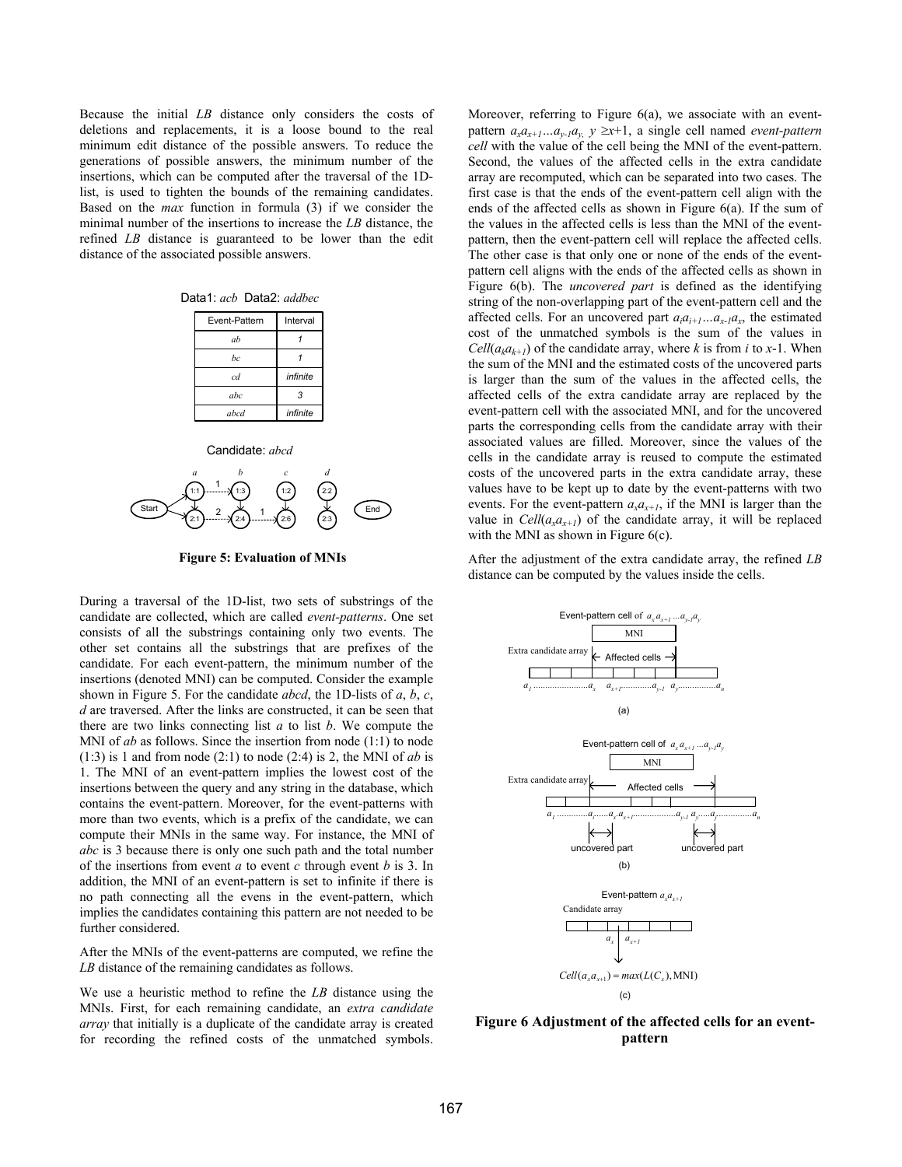Because the initial *LB* distance only considers the costs of deletions and replacements, it is a loose bound to the real minimum edit distance of the possible answers. To reduce the generations of possible answers, the minimum number of the insertions, which can be computed after the traversal of the 1Dlist, is used to tighten the bounds of the remaining candidates. Based on the *max* function in formula (3) if we consider the minimal number of the insertions to increase the *LB* distance, the refined *LB* distance is guaranteed to be lower than the edit distance of the associated possible answers.

|  | Event-Pattern | Interval |
|--|---------------|----------|
|  | ah            |          |
|  | bс            |          |
|  | c d           | infinite |
|  | abc           | 3        |
|  | abcd          | infinite |
|  |               |          |





**Figure 5: Evaluation of MNIs** 

During a traversal of the 1D-list, two sets of substrings of the candidate are collected, which are called *event-patterns*. One set consists of all the substrings containing only two events. The other set contains all the substrings that are prefixes of the candidate. For each event-pattern, the minimum number of the insertions (denoted MNI) can be computed. Consider the example shown in Figure 5. For the candidate *abcd*, the 1D-lists of *a*, *b*, *c*, *d* are traversed. After the links are constructed, it can be seen that there are two links connecting list *a* to list *b*. We compute the MNI of *ab* as follows. Since the insertion from node (1:1) to node  $(1:3)$  is 1 and from node  $(2:1)$  to node  $(2:4)$  is 2, the MNI of *ab* is 1. The MNI of an event-pattern implies the lowest cost of the insertions between the query and any string in the database, which contains the event-pattern. Moreover, for the event-patterns with more than two events, which is a prefix of the candidate, we can compute their MNIs in the same way. For instance, the MNI of *abc* is 3 because there is only one such path and the total number of the insertions from event *a* to event *c* through event *b* is 3. In addition, the MNI of an event-pattern is set to infinite if there is no path connecting all the evens in the event-pattern, which implies the candidates containing this pattern are not needed to be further considered.

After the MNIs of the event-patterns are computed, we refine the *LB* distance of the remaining candidates as follows.

We use a heuristic method to refine the *LB* distance using the MNIs. First, for each remaining candidate, an *extra candidate array* that initially is a duplicate of the candidate array is created for recording the refined costs of the unmatched symbols.

Moreover, referring to Figure 6(a), we associate with an eventpattern  $a_x a_{x+1} \dots a_{y-1} a_y$ ,  $y \ge x+1$ , a single cell named *event-pattern cell* with the value of the cell being the MNI of the event-pattern. Second, the values of the affected cells in the extra candidate array are recomputed, which can be separated into two cases. The first case is that the ends of the event-pattern cell align with the ends of the affected cells as shown in Figure 6(a). If the sum of the values in the affected cells is less than the MNI of the eventpattern, then the event-pattern cell will replace the affected cells. The other case is that only one or none of the ends of the eventpattern cell aligns with the ends of the affected cells as shown in Figure 6(b). The *uncovered part* is defined as the identifying string of the non-overlapping part of the event-pattern cell and the affected cells. For an uncovered part  $a_i a_{i+1} \dots a_{x-1} a_x$ , the estimated cost of the unmatched symbols is the sum of the values in  $Cell(a<sub>k</sub>a<sub>k+1</sub>)$  of the candidate array, where *k* is from *i* to *x*-1. When the sum of the MNI and the estimated costs of the uncovered parts is larger than the sum of the values in the affected cells, the affected cells of the extra candidate array are replaced by the event-pattern cell with the associated MNI, and for the uncovered parts the corresponding cells from the candidate array with their associated values are filled. Moreover, since the values of the cells in the candidate array is reused to compute the estimated costs of the uncovered parts in the extra candidate array, these values have to be kept up to date by the event-patterns with two events. For the event-pattern  $a_x a_{x+1}$ , if the MNI is larger than the value in  $Cell(a_{x}a_{x+1})$  of the candidate array, it will be replaced with the MNI as shown in Figure  $6(c)$ .

After the adjustment of the extra candidate array, the refined *LB* distance can be computed by the values inside the cells.



**Figure 6 Adjustment of the affected cells for an eventpattern**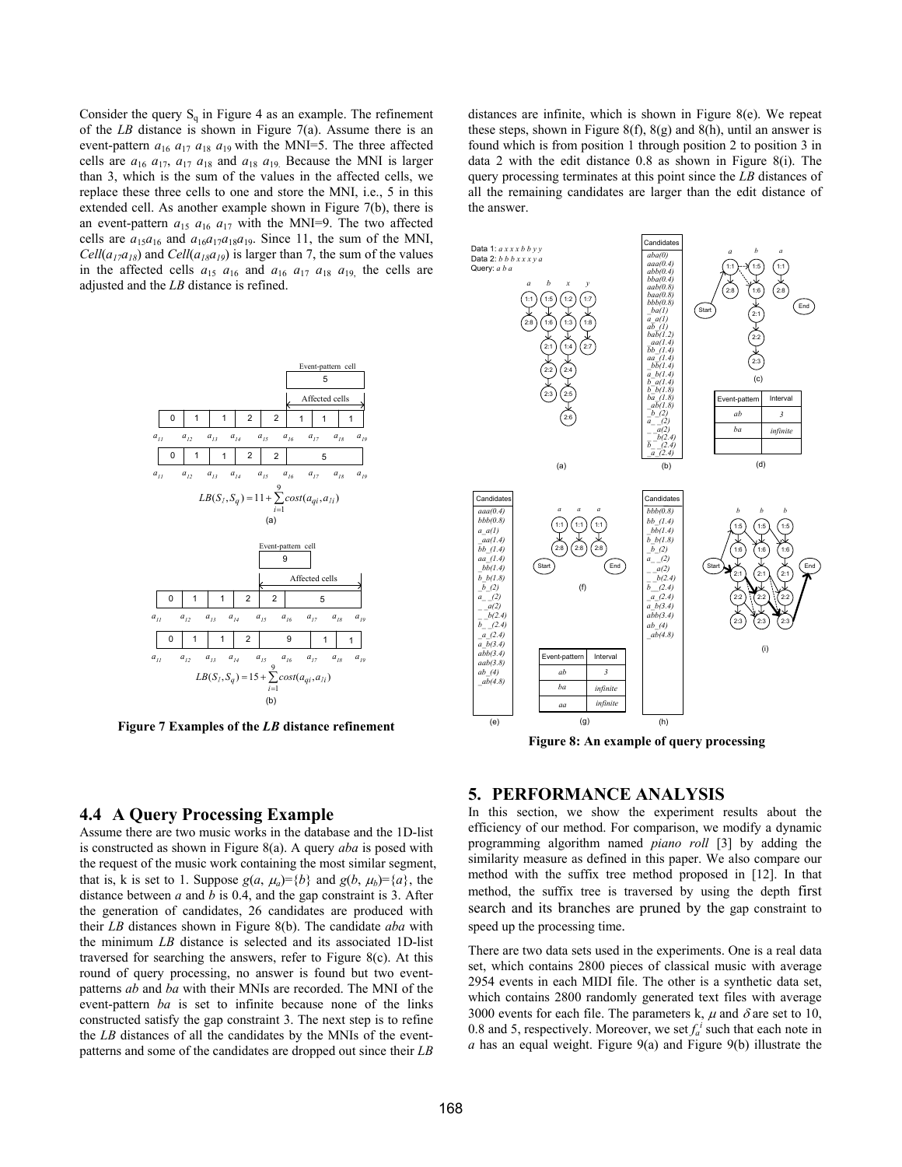Consider the query  $S_q$  in Figure 4 as an example. The refinement of the *LB* distance is shown in Figure 7(a). Assume there is an event-pattern  $a_{16}$   $a_{17}$   $a_{18}$   $a_{19}$  with the MNI=5. The three affected cells are  $a_{16}$   $a_{17}$ ,  $a_{17}$   $a_{18}$  and  $a_{18}$   $a_{19}$ . Because the MNI is larger than 3, which is the sum of the values in the affected cells, we replace these three cells to one and store the MNI, i.e., 5 in this extended cell. As another example shown in Figure 7(b), there is an event-pattern  $a_{15}$   $a_{16}$   $a_{17}$  with the MNI=9. The two affected cells are  $a_{15}a_{16}$  and  $a_{16}a_{17}a_{18}a_{19}$ . Since 11, the sum of the MNI,  $Cell(a_{17}a_{18})$  and  $Cell(a_{18}a_{19})$  is larger than 7, the sum of the values in the affected cells  $a_{15}$   $a_{16}$  and  $a_{16}$   $a_{17}$   $a_{18}$   $a_{19}$ , the cells are adjusted and the *LB* distance is refined.



**Figure 7 Examples of the** *LB* **distance refinement** 

## **4.4 A Query Processing Example**

Assume there are two music works in the database and the 1D-list is constructed as shown in Figure 8(a). A query *aba* is posed with the request of the music work containing the most similar segment, that is, k is set to 1. Suppose  $g(a, \mu_a) = \{b\}$  and  $g(b, \mu_b) = \{a\}$ , the distance between *a* and *b* is 0.4, and the gap constraint is 3. After the generation of candidates, 26 candidates are produced with their *LB* distances shown in Figure 8(b). The candidate *aba* with the minimum *LB* distance is selected and its associated 1D-list traversed for searching the answers, refer to Figure 8(c). At this round of query processing, no answer is found but two eventpatterns *ab* and *ba* with their MNIs are recorded. The MNI of the event-pattern *ba* is set to infinite because none of the links constructed satisfy the gap constraint 3. The next step is to refine the *LB* distances of all the candidates by the MNIs of the eventpatterns and some of the candidates are dropped out since their *LB*

distances are infinite, which is shown in Figure 8(e). We repeat these steps, shown in Figure 8(f),  $8(g)$  and 8(h), until an answer is found which is from position 1 through position 2 to position 3 in data 2 with the edit distance 0.8 as shown in Figure 8(i). The query processing terminates at this point since the *LB* distances of all the remaining candidates are larger than the edit distance of the answer.



**Figure 8: An example of query processing**

# **5. PERFORMANCE ANALYSIS**

In this section, we show the experiment results about the efficiency of our method. For comparison, we modify a dynamic programming algorithm named *piano roll* [3] by adding the similarity measure as defined in this paper. We also compare our method with the suffix tree method proposed in [12]. In that method, the suffix tree is traversed by using the depth first search and its branches are pruned by the gap constraint to speed up the processing time.

There are two data sets used in the experiments. One is a real data set, which contains 2800 pieces of classical music with average 2954 events in each MIDI file. The other is a synthetic data set, which contains 2800 randomly generated text files with average 3000 events for each file. The parameters k,  $\mu$  and  $\delta$  are set to 10, 0.8 and 5, respectively. Moreover, we set  $f_a^i$  such that each note in *a* has an equal weight. Figure 9(a) and Figure 9(b) illustrate the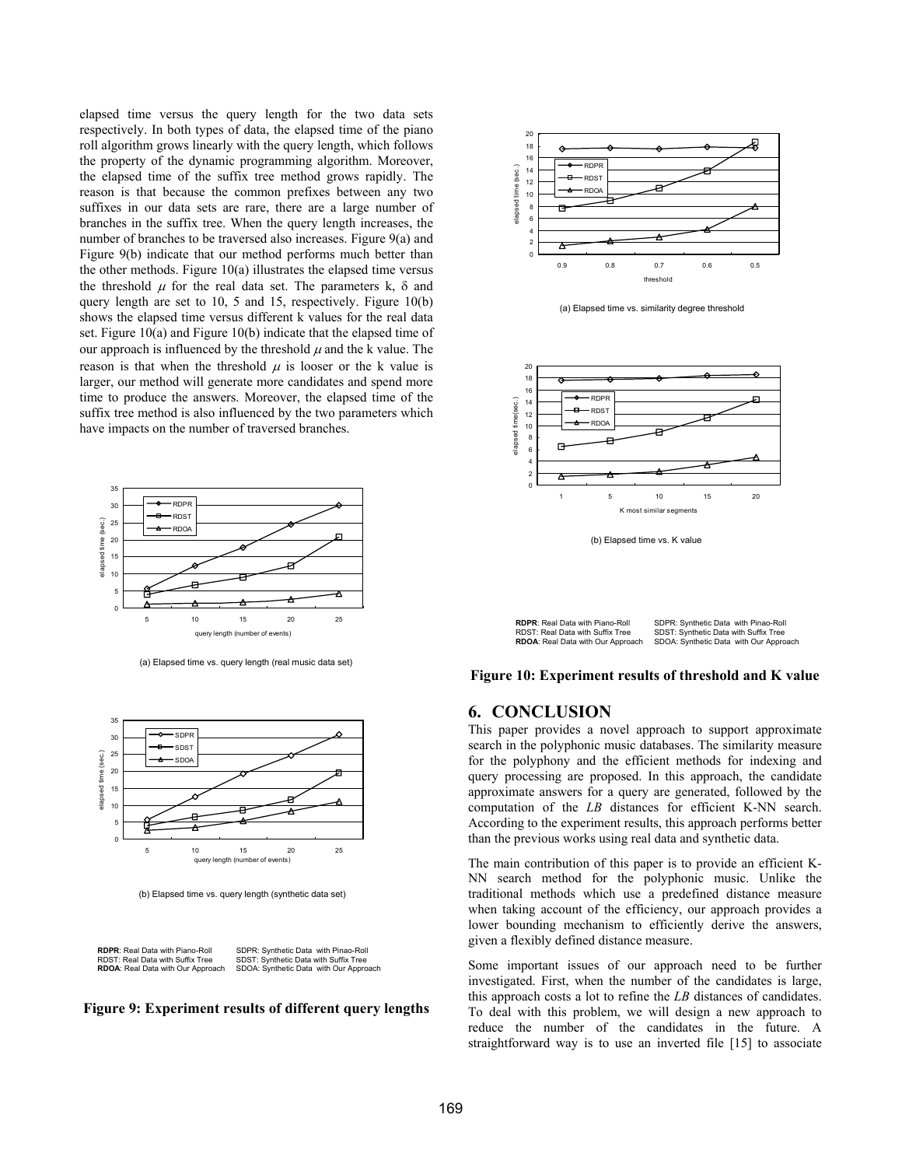elapsed time versus the query length for the two data sets respectively. In both types of data, the elapsed time of the piano roll algorithm grows linearly with the query length, which follows the property of the dynamic programming algorithm. Moreover, the elapsed time of the suffix tree method grows rapidly. The reason is that because the common prefixes between any two suffixes in our data sets are rare, there are a large number of branches in the suffix tree. When the query length increases, the number of branches to be traversed also increases. Figure 9(a) and Figure 9(b) indicate that our method performs much better than the other methods. Figure 10(a) illustrates the elapsed time versus the threshold  $\mu$  for the real data set. The parameters k,  $\delta$  and query length are set to 10, 5 and 15, respectively. Figure 10(b) shows the elapsed time versus different k values for the real data set. Figure 10(a) and Figure 10(b) indicate that the elapsed time of our approach is influenced by the threshold  $\mu$  and the k value. The reason is that when the threshold  $\mu$  is looser or the k value is larger, our method will generate more candidates and spend more time to produce the answers. Moreover, the elapsed time of the suffix tree method is also influenced by the two parameters which have impacts on the number of traversed branches.



(a) Elapsed time vs. query length (real music data set)



(b) Elapsed time vs. query length (synthetic data set)







(a) Elapsed time vs. similarity degree threshold



(b) Elapsed time vs. K value

| <b>RDPR:</b> Real Data with Piano-Roll   | SDPR: Synthetic Data with Pinao-Roll   |
|------------------------------------------|----------------------------------------|
| RDST: Real Data with Suffix Tree         | SDST: Synthetic Data with Suffix Tree  |
| <b>RDOA:</b> Real Data with Our Approach | SDOA: Synthetic Data with Our Approach |

#### **Figure 10: Experiment results of threshold and K value**

# **6. CONCLUSION**

This paper provides a novel approach to support approximate search in the polyphonic music databases. The similarity measure for the polyphony and the efficient methods for indexing and query processing are proposed. In this approach, the candidate approximate answers for a query are generated, followed by the computation of the *LB* distances for efficient K-NN search. According to the experiment results, this approach performs better than the previous works using real data and synthetic data.

The main contribution of this paper is to provide an efficient K-NN search method for the polyphonic music. Unlike the traditional methods which use a predefined distance measure when taking account of the efficiency, our approach provides a lower bounding mechanism to efficiently derive the answers, given a flexibly defined distance measure.

Some important issues of our approach need to be further investigated. First, when the number of the candidates is large, this approach costs a lot to refine the *LB* distances of candidates. To deal with this problem, we will design a new approach to reduce the number of the candidates in the future. A straightforward way is to use an inverted file [15] to associate